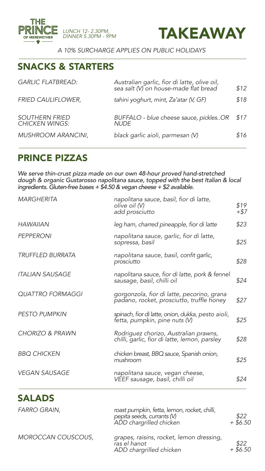

*DINNER 5.30PM - 9PM*



*A 10% SURCHARGE APPLIES ON PUBLIC HOLIDAYS*

# SNACKS & STARTERS

| <b>GARLIC FLATBREAD:</b>                       | Australian garlic, fior di latte, olive oil,<br>sea salt (V) on house-made flat bread | \$12 |
|------------------------------------------------|---------------------------------------------------------------------------------------|------|
| <b>FRIED CAULIFLOWER,</b>                      | tahini yoghurt, mint, Za'atar (V, GF)                                                 | \$18 |
| <b>SOUTHERN FRIED</b><br><b>CHICKEN WINGS:</b> | BUFFALO - blue cheese sauce, picklesOR<br><b>NUDE</b>                                 | \$17 |
| <b>MUSHROOM ARANCINI,</b>                      | black garlic aioli, parmesan (V)                                                      | \$16 |

# PRINCE PIZZAS

*We serve thin-crust pizza made on our own 48-hour proved hand-stretched dough & organic Gustarosso napolitana sauce, topped with the best Italian & local ingredients. Gluten-free bases + \$4.50 & vegan cheese + \$2 available.*

| <b>MARGHERITA</b>          | napolitana sauce, basil, fior di latte,<br>olive oil (V)<br>add prosciutto              | \$19<br>+\$7 |
|----------------------------|-----------------------------------------------------------------------------------------|--------------|
| <b>HAWAIIAN</b>            | leg ham, charred pineapple, fior di latte                                               | \$23         |
| <b>PEPPERONI</b>           | napolitana sauce, garlic, fior di latte,<br>sopressa, basil                             | \$25         |
| <b>TRUFFLED BURRATA</b>    | napolitana sauce, basil, confit garlic,<br>prosciutto                                   | \$28         |
| <b>ITALIAN SAUSAGE</b>     | napolitana sauce, fior di latte, pork & fennel<br>sausage, basil, chilli oil            | \$24         |
| <b>QUATTRO FORMAGGI</b>    | gorgonzola, fior di latte, pecorino, grana<br>padano, rocket, prosciutto, truffle honey | \$27         |
| <b>PESTO PUMPKIN</b>       | spinach, fior di latte, onion, dukka, pesto aioli,<br>fetta, pumpkin, pine nuts (V)     | \$25         |
| <b>CHORIZO &amp; PRAWN</b> | Rodriguez chorizo, Australian prawns,<br>chilli, garlic, fior di latte, lemon, parsley  | \$28         |
| <b>BBQ CHICKEN</b>         | chicken breast, BBQ sauce, Spanish onion,<br>mushroom                                   | \$25         |
| <b>VEGAN SAUSAGE</b>       | napolitana sauce, vegan cheese,<br>VEEF sausage, basil, chilli oil                      | \$24         |
|                            |                                                                                         |              |

# SALADS

| <b>FARRO GRAIN,</b>       | roast pumpkin, fetta, lemon, rocket, chilli,<br>pepita seeds, currants (V)<br>ADD chargrilled chicken | \$22<br>$+$ \$6.50 |
|---------------------------|-------------------------------------------------------------------------------------------------------|--------------------|
| <b>MOROCCAN COUSCOUS,</b> | grapes, raisins, rocket, lemon dressing,<br>ras el hanot<br>ADD chargrilled chicken                   | \$22<br>$+$ \$6.50 |